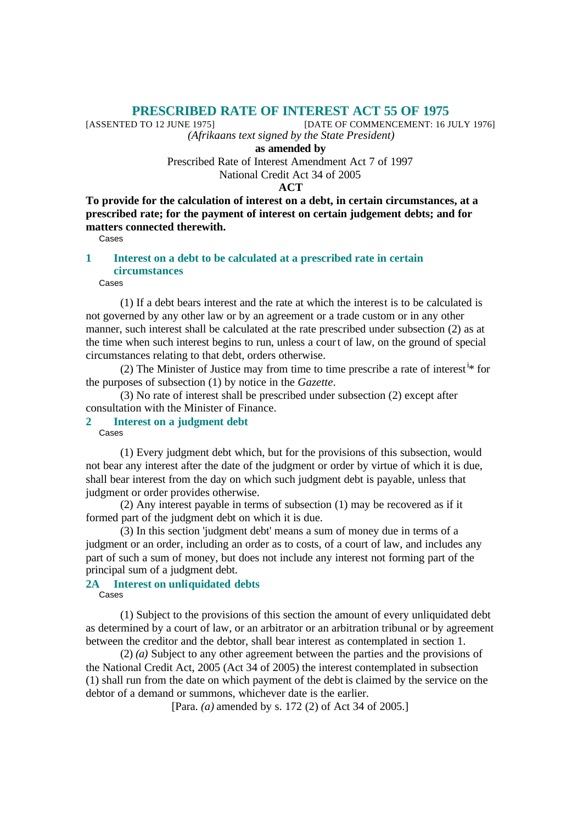# **PRESCRIBED RATE OF INTEREST ACT 55 OF 1975**<br>[DATE OF COMMENCEMENT: 16 J

[DATE OF COMMENCEMENT: 16 JULY 1976]

*(Afrikaans text signed by the State President)*

**as amended by**

Prescribed Rate of Interest Amendment Act 7 of 1997 National Credit Act 34 of 2005

**ACT**

**To provide for the calculation of interest on a debt, in certain circumstances, at a prescribed rate; for the payment of interest on certain judgement debts; and for matters connected therewith.**

Cases

## **1 Interest on a debt to be calculated at a prescribed rate in certain circumstances**

Cases

(1) If a debt bears interest and the rate at which the interest is to be calculated is not governed by any other law or by an agreement or a trade custom or in any other manner, such interest shall be calculated at the rate prescribed under subsection (2) as at the time when such interest begins to run, unless a court of law, on the ground of special circumstances relating to that debt, orders otherwise.

(2) The Minister of Justice may from time to time prescribe a rate of interest  $\dot{x}$  for the purposes of subsection (1) by notice in the *Gazette*.

(3) No rate of interest shall be prescribed under subsection (2) except after consultation with the Minister of Finance.

## **2 Interest on a judgment debt**

Cases

(1) Every judgment debt which, but for the provisions of this subsection, would not bear any interest after the date of the judgment or order by virtue of which it is due, shall bear interest from the day on which such judgment debt is payable, unless that judgment or order provides otherwise.

(2) Any interest payable in terms of subsection (1) may be recovered as if it formed part of the judgment debt on which it is due.

(3) In this section 'judgment debt' means a sum of money due in terms of a judgment or an order, including an order as to costs, of a court of law, and includes any part of such a sum of money, but does not include any interest not forming part of the principal sum of a judgment debt.

### **2A Interest on unliquidated debts** Cases

(1) Subject to the provisions of this section the amount of every unliquidated debt as determined by a court of law, or an arbitrator or an arbitration tribunal or by agreement between the creditor and the debtor, shall bear interest as contemplated in section 1.

(2) *(a)* Subject to any other agreement between the parties and the provisions of the National Credit Act, 2005 (Act 34 of 2005) the interest contemplated in subsection (1) shall run from the date on which payment of the debt is claimed by the service on the debtor of a demand or summons, whichever date is the earlier.

[Para. *(a)* amended by s. 172 (2) of Act 34 of 2005.]